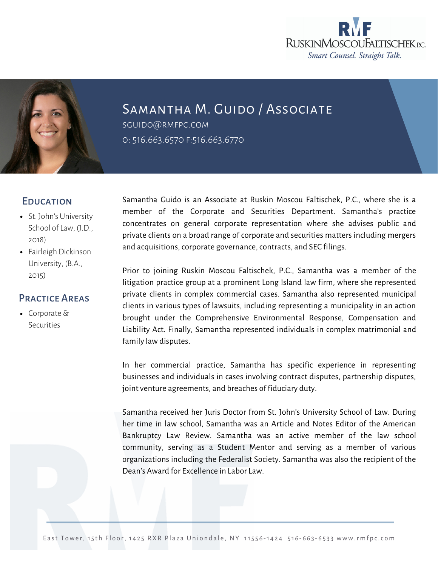



Samantha M. Guido / Associate

sguid[o@rmfpc.com](mailto:ttelesca@rmfpc.com) 0: 516.663.6570 f:516.663.6770

## **EDUCATION**

- St. John's University School of Law, (J.D., 2018)
- Fairleigh Dickinson University, (B.A., 2015)

## Practice Areas

[Corporate](https://rmfpc.com/practice-areas/cybersecurity/) & Securities

Samantha Guido is an Associate at Ruskin Moscou Faltischek, P.C., where she is a member of the Corporate and Securities Department. Samantha's practice concentrates on general corporate representation where she advises public and private clients on a broad range of corporate and securities matters including mergers and acquisitions, corporate governance, contracts, and SEC filings.

Prior to joining Ruskin Moscou Faltischek, P.C., Samantha was a member of the litigation practice group at a prominent Long Island law firm, where she represented private clients in complex commercial cases. Samantha also represented municipal clients in various types of lawsuits, including representing a municipality in an action brought under the Comprehensive Environmental Response, Compensation and Liability Act. Finally, Samantha represented individuals in complex matrimonial and family law disputes.

In her commercial practice, Samantha has specific experience in representing businesses and individuals in cases involving contract disputes, partnership disputes, joint venture agreements, and breaches of fiduciary duty.

Samantha received her Juris Doctor from St. John's University School of Law. During her time in law school, Samantha was an Article and Notes Editor of the American Bankruptcy Law Review. Samantha was an active member of the law school community, serving as a Student Mentor and serving as a member of various organizations including the Federalist Society. Samantha was also the recipient of the Dean's Award for Excellence in Labor Law.